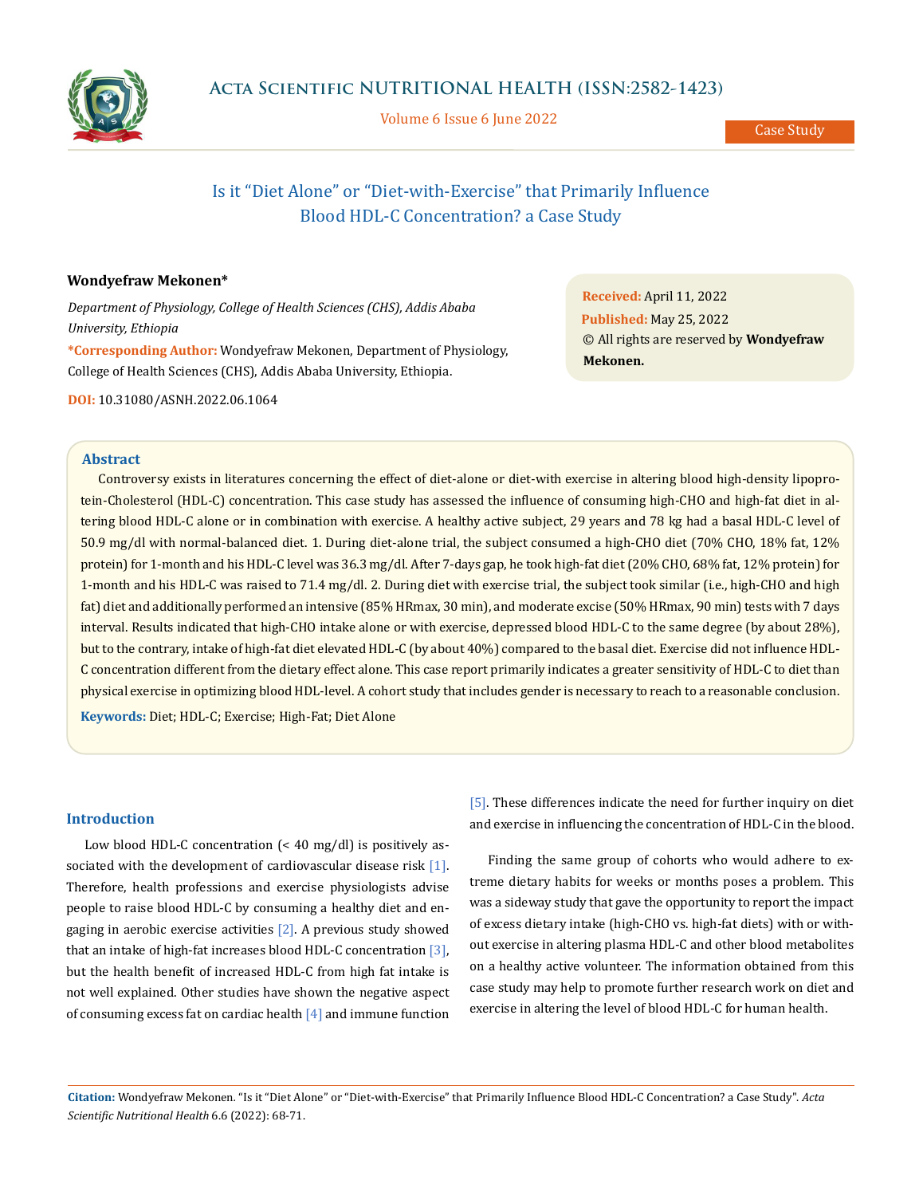

Volume 6 Issue 6 June 2022

Case Study

# Is it "Diet Alone" or "Diet-with-Exercise" that Primarily Influence Blood HDL-C Concentration? a Case Study

# **Wondyefraw Mekonen\***

*Department of Physiology, College of Health Sciences (CHS), Addis Ababa University, Ethiopia* **\*Corresponding Author:** Wondyefraw Mekonen, Department of Physiology, College of Health Sciences (CHS), Addis Ababa University, Ethiopia.

**DOI:** [10.31080/ASNH.2022.06.1064](https://actascientific.com/ASNH/pdf/ASNH-06-1064.pdf)

**Abstract**

Controversy exists in literatures concerning the effect of diet-alone or diet-with exercise in altering blood high-density lipoprotein-Cholesterol (HDL-C) concentration. This case study has assessed the influence of consuming high-CHO and high-fat diet in altering blood HDL-C alone or in combination with exercise. A healthy active subject, 29 years and 78 kg had a basal HDL-C level of 50.9 mg/dl with normal-balanced diet. 1. During diet-alone trial, the subject consumed a high-CHO diet (70% CHO, 18% fat, 12% protein) for 1-month and his HDL-C level was 36.3 mg/dl. After 7-days gap, he took high-fat diet (20% CHO, 68% fat, 12% protein) for 1-month and his HDL-C was raised to 71.4 mg/dl. 2. During diet with exercise trial, the subject took similar (i.e., high-CHO and high fat) diet and additionally performed an intensive (85% HRmax, 30 min), and moderate excise (50% HRmax, 90 min) tests with 7 days interval. Results indicated that high-CHO intake alone or with exercise, depressed blood HDL-C to the same degree (by about 28%), but to the contrary, intake of high-fat diet elevated HDL-C (by about 40%) compared to the basal diet. Exercise did not influence HDL-C concentration different from the dietary effect alone. This case report primarily indicates a greater sensitivity of HDL-C to diet than physical exercise in optimizing blood HDL-level. A cohort study that includes gender is necessary to reach to a reasonable conclusion.

**Keywords:** Diet; HDL-C; Exercise; High-Fat; Diet Alone

# **Introduction**

Low blood HDL-C concentration (< 40 mg/dl) is positively associated with the development of cardiovascular disease risk [1]. Therefore, health professions and exercise physiologists advise people to raise blood HDL-C by consuming a healthy diet and engaging in aerobic exercise activities [2]. A previous study showed that an intake of high-fat increases blood HDL-C concentration [3], but the health benefit of increased HDL-C from high fat intake is not well explained. Other studies have shown the negative aspect of consuming excess fat on cardiac health [4] and immune function [5]. These differences indicate the need for further inquiry on diet and exercise in influencing the concentration of HDL-C in the blood.

Finding the same group of cohorts who would adhere to extreme dietary habits for weeks or months poses a problem. This was a sideway study that gave the opportunity to report the impact of excess dietary intake (high-CHO vs. high-fat diets) with or without exercise in altering plasma HDL-C and other blood metabolites on a healthy active volunteer. The information obtained from this case study may help to promote further research work on diet and exercise in altering the level of blood HDL-C for human health.

**Citation:** Wondyefraw Mekonen*.* "Is it "Diet Alone" or "Diet-with-Exercise" that Primarily Influence Blood HDL-C Concentration? a Case Study". *Acta Scientific Nutritional Health* 6.6 (2022): 68-71.

**Received:** April 11, 2022 **Published:** May 25, 2022 © All rights are reserved by **Wondyefraw Mekonen.**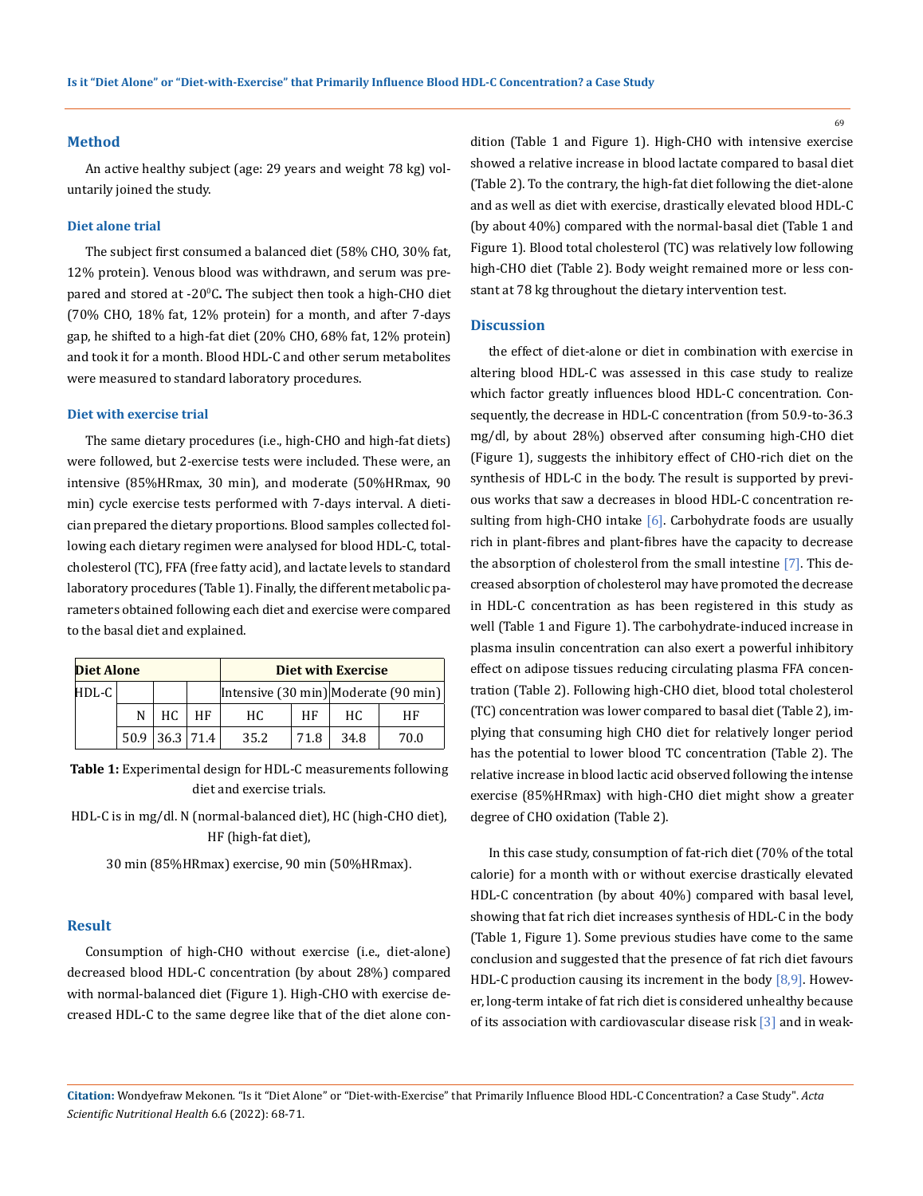#### **Method**

An active healthy subject (age: 29 years and weight 78 kg) voluntarily joined the study.

#### **Diet alone trial**

The subject first consumed a balanced diet (58% CHO, 30% fat, 12% protein). Venous blood was withdrawn, and serum was prepared and stored at -20<sup>°</sup>C. The subject then took a high-CHO diet (70% CHO, 18% fat, 12% protein) for a month, and after 7-days gap, he shifted to a high-fat diet (20% CHO, 68% fat, 12% protein) and took it for a month. Blood HDL-C and other serum metabolites were measured to standard laboratory procedures.

## **Diet with exercise trial**

The same dietary procedures (i.e., high-CHO and high-fat diets) were followed, but 2-exercise tests were included. These were, an intensive (85%HRmax, 30 min), and moderate (50%HRmax, 90 min) cycle exercise tests performed with 7-days interval. A dietician prepared the dietary proportions. Blood samples collected following each dietary regimen were analysed for blood HDL-C, totalcholesterol (TC), FFA (free fatty acid), and lactate levels to standard laboratory procedures (Table 1). Finally, the different metabolic parameters obtained following each diet and exercise were compared to the basal diet and explained.

| <b>Diet Alone</b> |   |                      | Diet with Exercise |      |      |                                      |      |
|-------------------|---|----------------------|--------------------|------|------|--------------------------------------|------|
| $HDL-C$           |   |                      |                    |      |      | Intensive (30 min) Moderate (90 min) |      |
|                   | N | HC.                  | ΗF                 | HC.  | HF   | HC.                                  | ΗF   |
|                   |   | $50.9$   36.3   71.4 |                    | 35.2 | 71.8 | 34.8                                 | 70.0 |

**Table 1:** Experimental design for HDL-C measurements following diet and exercise trials.

HDL-C is in mg/dl. N (normal-balanced diet), HC (high-CHO diet), HF (high-fat diet),

30 min (85%HRmax) exercise, 90 min (50%HRmax).

#### **Result**

Consumption of high-CHO without exercise (i.e., diet-alone) decreased blood HDL-C concentration (by about 28%) compared with normal-balanced diet (Figure 1). High-CHO with exercise decreased HDL-C to the same degree like that of the diet alone condition (Table 1 and Figure 1). High-CHO with intensive exercise showed a relative increase in blood lactate compared to basal diet (Table 2). To the contrary, the high-fat diet following the diet-alone and as well as diet with exercise, drastically elevated blood HDL-C (by about 40%) compared with the normal-basal diet (Table 1 and Figure 1). Blood total cholesterol (TC) was relatively low following high-CHO diet (Table 2). Body weight remained more or less constant at 78 kg throughout the dietary intervention test.

#### **Discussion**

the effect of diet-alone or diet in combination with exercise in altering blood HDL-C was assessed in this case study to realize which factor greatly influences blood HDL-C concentration. Consequently, the decrease in HDL-C concentration (from 50.9-to-36.3 mg/dl, by about 28%) observed after consuming high-CHO diet (Figure 1), suggests the inhibitory effect of CHO-rich diet on the synthesis of HDL-C in the body. The result is supported by previous works that saw a decreases in blood HDL-C concentration resulting from high-CHO intake [6]. Carbohydrate foods are usually rich in plant-fibres and plant-fibres have the capacity to decrease the absorption of cholesterol from the small intestine [7]. This decreased absorption of cholesterol may have promoted the decrease in HDL-C concentration as has been registered in this study as well (Table 1 and Figure 1). The carbohydrate-induced increase in plasma insulin concentration can also exert a powerful inhibitory effect on adipose tissues reducing circulating plasma FFA concentration (Table 2). Following high-CHO diet, blood total cholesterol (TC) concentration was lower compared to basal diet (Table 2), implying that consuming high CHO diet for relatively longer period has the potential to lower blood TC concentration (Table 2). The relative increase in blood lactic acid observed following the intense exercise (85%HRmax) with high-CHO diet might show a greater degree of CHO oxidation (Table 2).

In this case study, consumption of fat-rich diet (70% of the total calorie) for a month with or without exercise drastically elevated HDL-C concentration (by about 40%) compared with basal level, showing that fat rich diet increases synthesis of HDL-C in the body (Table 1, Figure 1). Some previous studies have come to the same conclusion and suggested that the presence of fat rich diet favours HDL-C production causing its increment in the body  $[8,9]$ . However, long-term intake of fat rich diet is considered unhealthy because of its association with cardiovascular disease risk [3] and in weak-

**Citation:** Wondyefraw Mekonen*.* "Is it "Diet Alone" or "Diet-with-Exercise" that Primarily Influence Blood HDL-C Concentration? a Case Study". *Acta Scientific Nutritional Health* 6.6 (2022): 68-71.

69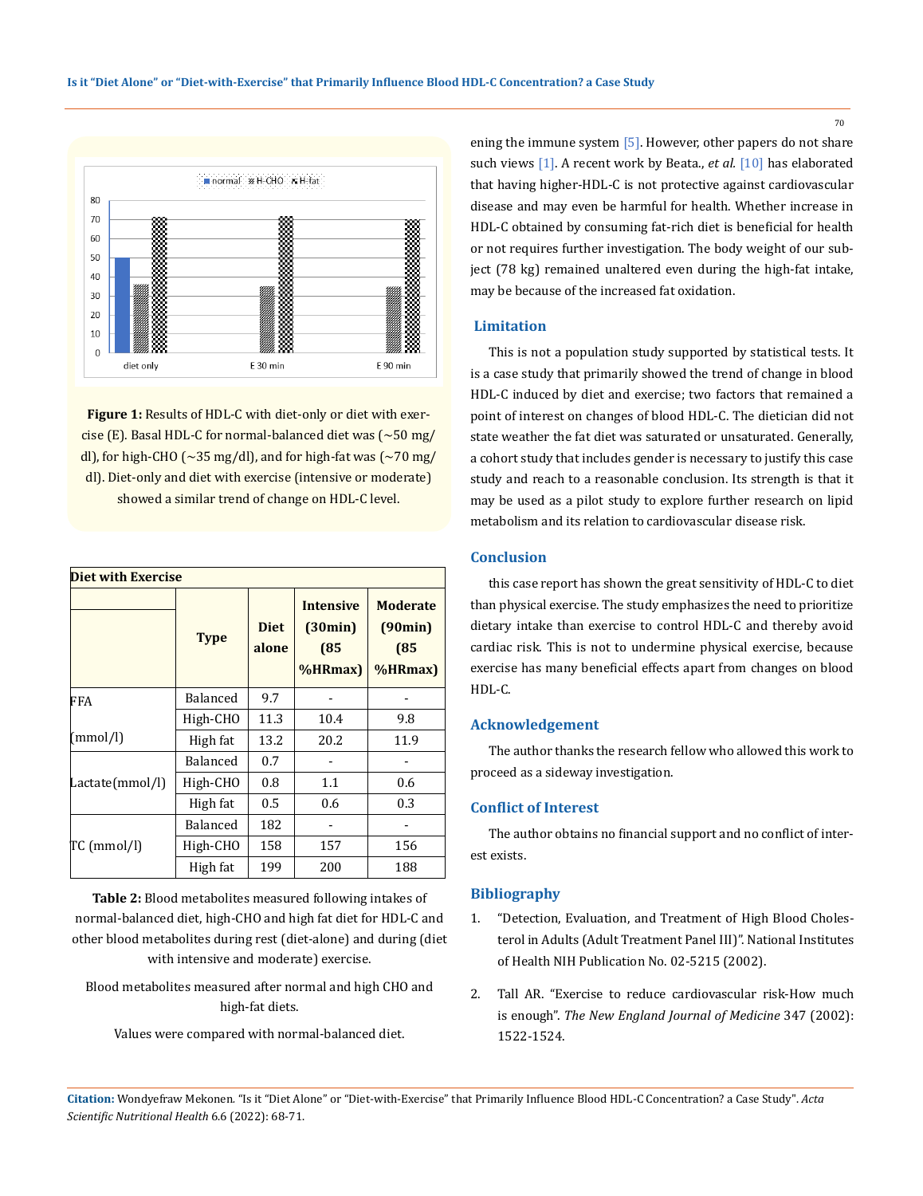

Figure 1: Results of HDL-C with diet-only or diet with exercise (E). Basal HDL-C for normal-balanced diet was (~50 mg/ dl), for high-CHO ( $\sim$ 35 mg/dl), and for high-fat was ( $\sim$ 70 mg/ dl). Diet-only and diet with exercise (intensive or moderate) showed a similar trend of change on HDL-C level.

| <b>Diet with Exercise</b> |                 |                      |                                                |                                                     |  |  |  |  |
|---------------------------|-----------------|----------------------|------------------------------------------------|-----------------------------------------------------|--|--|--|--|
|                           | <b>Type</b>     | <b>Diet</b><br>alone | <b>Intensive</b><br>(30min)<br>(85)<br>%HRmax) | <b>Moderate</b><br>(90min)<br>(85)<br>$%$ HRmax $)$ |  |  |  |  |
| FFA                       | Balanced        | 9.7                  |                                                |                                                     |  |  |  |  |
|                           | High-CHO        | 11.3                 | 10.4                                           | 9.8                                                 |  |  |  |  |
| (mmol/l)                  | High fat        | 13.2                 | 20.2                                           | 11.9                                                |  |  |  |  |
|                           | <b>Balanced</b> | 0.7                  |                                                |                                                     |  |  |  |  |
| Lactate(mmol/l)           | High-CHO        | 0.8                  | 1.1                                            | 0.6                                                 |  |  |  |  |
|                           | High fat        | 0.5                  | 0.6                                            | 0.3                                                 |  |  |  |  |
|                           | <b>Balanced</b> | 182                  |                                                |                                                     |  |  |  |  |
| TC (mmol/l)               | High-CHO        | 158                  | 157                                            | 156                                                 |  |  |  |  |
|                           | High fat        | 199                  | 200                                            | 188                                                 |  |  |  |  |

**Table 2:** Blood metabolites measured following intakes of normal-balanced diet, high-CHO and high fat diet for HDL-C and other blood metabolites during rest (diet-alone) and during (diet with intensive and moderate) exercise.

Blood metabolites measured after normal and high CHO and high-fat diets.

Values were compared with normal-balanced diet.

ening the immune system  $\lceil 5 \rceil$ . However, other papers do not share such views [1]. A recent work by Beata., *et al.* [10] has elaborated that having higher-HDL-C is not protective against cardiovascular disease and may even be harmful for health. Whether increase in HDL-C obtained by consuming fat-rich diet is beneficial for health or not requires further investigation. The body weight of our subject (78 kg) remained unaltered even during the high-fat intake, may be because of the increased fat oxidation.

### **Limitation**

This is not a population study supported by statistical tests. It is a case study that primarily showed the trend of change in blood HDL-C induced by diet and exercise; two factors that remained a point of interest on changes of blood HDL-C. The dietician did not state weather the fat diet was saturated or unsaturated. Generally, a cohort study that includes gender is necessary to justify this case study and reach to a reasonable conclusion. Its strength is that it may be used as a pilot study to explore further research on lipid metabolism and its relation to cardiovascular disease risk.

## **Conclusion**

this case report has shown the great sensitivity of HDL-C to diet than physical exercise. The study emphasizes the need to prioritize dietary intake than exercise to control HDL-C and thereby avoid cardiac risk. This is not to undermine physical exercise, because exercise has many beneficial effects apart from changes on blood HDL-C.

#### **Acknowledgement**

The author thanks the research fellow who allowed this work to proceed as a sideway investigation.

# **Conflict of Interest**

The author obtains no financial support and no conflict of interest exists.

## **Bibliography**

- 1. ["Detection, Evaluation, and Treatment of High Blood Choles](https://www.researchgate.net/publication/279690790_Detection_evaluation_and_treatment_of_high_blood_cholesterol_in_adults_Adult_Treatment_Panel_III)[terol in Adults \(Adult Treatment Panel III\)". National Institutes](https://www.researchgate.net/publication/279690790_Detection_evaluation_and_treatment_of_high_blood_cholesterol_in_adults_Adult_Treatment_Panel_III) [of Health NIH Publication No. 02-5215 \(2002\).](https://www.researchgate.net/publication/279690790_Detection_evaluation_and_treatment_of_high_blood_cholesterol_in_adults_Adult_Treatment_Panel_III)
- 2. [Tall AR. "Exercise to reduce cardiovascular risk-How much](https://www.ncbi.nlm.nih.gov/pmc/articles/PMC6481017/) is enough". *[The New England Journal of Medicine](https://www.ncbi.nlm.nih.gov/pmc/articles/PMC6481017/)* 347 (2002): [1522-1524.](https://www.ncbi.nlm.nih.gov/pmc/articles/PMC6481017/)

**Citation:** Wondyefraw Mekonen*.* "Is it "Diet Alone" or "Diet-with-Exercise" that Primarily Influence Blood HDL-C Concentration? a Case Study". *Acta Scientific Nutritional Health* 6.6 (2022): 68-71.

70